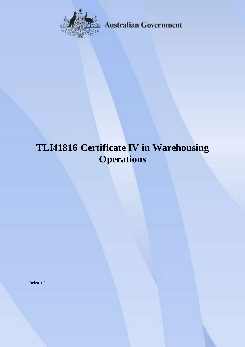

**Australian Government** 

# **TLI41816 Certificate IV in Warehousing Operations**

**Release 2**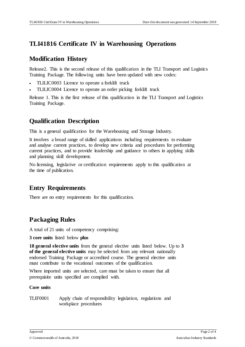## **TLI41816 Certificate IV in Warehousing Operations**

#### **Modification History**

Release2. This is the second release of this qualification in the TLI Transport and Logistics Training Package. The following units have been updated with new codes:

- TLILIC0003 Licence to operate a forklift truck
- TLILIC0004 Licence to operate an order picking forklift truck

Release 1. This is the first release of this qualification in the TLI Transport and Logistics Training Package.

## **Qualification Description**

This is a general qualification for the Warehousing and Storage Industry.

It involves a broad range of skilled applications including requirements to evaluate and analyse current practices, to develop new criteria and procedures for performing current practices, and to provide leadership and guidance to others in applying skills and planning skill development.

No licensing, legislative or certification requirements apply to this qualification at the time of publication.

### **Entry Requirements**

There are no entry requirements for this qualification.

### **Packaging Rules**

A total of 21 units of competency comprising:

**3 core units** listed below **plus**

**18 general elective units** from the general elective units listed below. Up to **3 of the general elective units** may be selected from any relevant nationally endorsed Training Package or accredited course. The general elective units must contribute to the vocational outcomes of the qualification.

Where imported units are selected, care must be taken to ensure that all prerequisite units specified are complied with.

#### **Core units**

TLIF0001 Apply chain of responsibility legislation, regulations and workplace procedures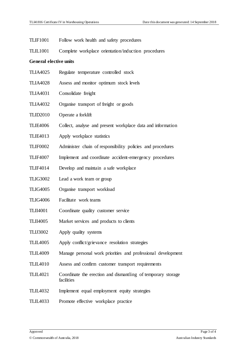- TLIF1001 Follow work health and safety procedures
- TLIL1001 Complete workplace orientation/induction procedures

#### **General elective units**

- TLIA4025 Regulate temperature controlled stock
- TLIA4028 Assess and monitor optimum stock levels
- TLIA4031 Consolidate freight
- TLIA4032 Organise transport of freight or goods
- TLID2010 Operate a forklift
- TLIE4006 Collect, analyse and present workplace data and information
- TLIE4013 Apply workplace statistics
- TLIF0002 Administer chain of responsibility policies and procedures
- TLIF4007 Implement and coordinate accident-emergency procedures
- TLIF4014 Develop and maintain a safe workplace
- TLIG3002 Lead a work team or group
- TLIG4005 Organise transport workload
- TLIG4006 Facilitate work teams
- TLII4001 Coordinate quality customer service
- TLII4005 Market services and products to clients
- TLIJ3002 Apply quality systems
- TLIL4005 Apply conflict/grievance resolution strategies
- TLIL4009 Manage personal work priorities and professional development
- TLIL4010 Assess and confirm customer transport requirements
- TLIL4021 Coordinate the erection and dismantling of temporary storage facilities
- TLIL4032 Implement equal employment equity strategies
- TLIL4033 Promote effective workplace practice